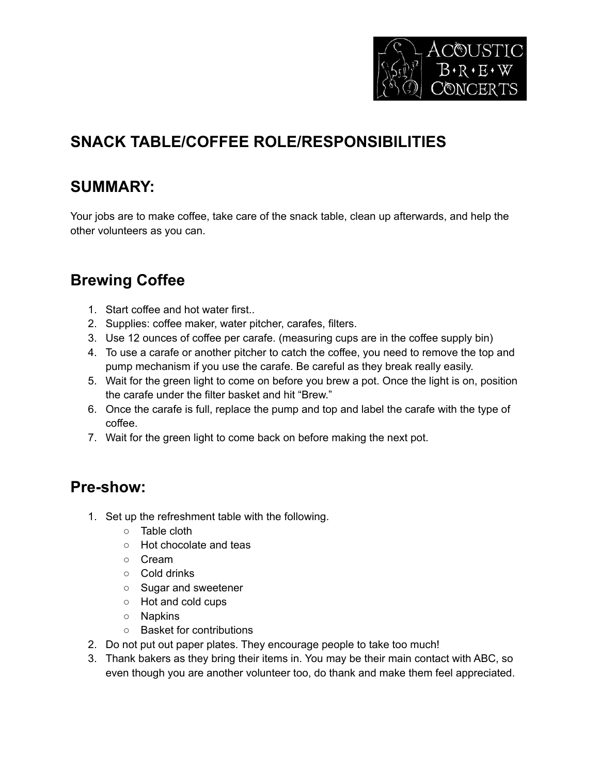

# **SNACK TABLE/COFFEE ROLE/RESPONSIBILITIES**

## **SUMMARY:**

Your jobs are to make coffee, take care of the snack table, clean up afterwards, and help the other volunteers as you can.

## **Brewing Coffee**

- 1. Start coffee and hot water first..
- 2. Supplies: coffee maker, water pitcher, carafes, filters.
- 3. Use 12 ounces of coffee per carafe. (measuring cups are in the coffee supply bin)
- 4. To use a carafe or another pitcher to catch the coffee, you need to remove the top and pump mechanism if you use the carafe. Be careful as they break really easily.
- 5. Wait for the green light to come on before you brew a pot. Once the light is on, position the carafe under the filter basket and hit "Brew."
- 6. Once the carafe is full, replace the pump and top and label the carafe with the type of coffee.
- 7. Wait for the green light to come back on before making the next pot.

#### **Pre-show:**

- 1. Set up the refreshment table with the following.
	- Table cloth
	- Hot chocolate and teas
	- Cream
	- Cold drinks
	- Sugar and sweetener
	- Hot and cold cups
	- Napkins
	- Basket for contributions
- 2. Do not put out paper plates. They encourage people to take too much!
- 3. Thank bakers as they bring their items in. You may be their main contact with ABC, so even though you are another volunteer too, do thank and make them feel appreciated.